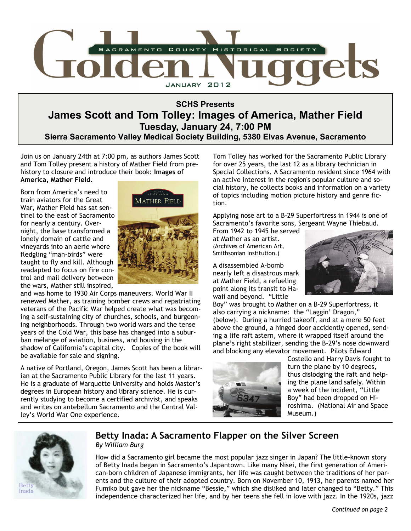

## **SCHS Presents James Scott and Tom Tolley: Images of America, Mather Field Tuesday, January 24, 7:00 PM Sierra Sacramento Valley Medical Society Building, 5380 Elvas Avenue, Sacramento**

Join us on January 24th at 7:00 pm, as authors James Scott and Tom Tolley present a history of Mather Field from prehistory to closure and introduce their book: **Images of America, Mather Field.** 

Born from America's need to train aviators for the Great War, Mather Field has sat sentinel to the east of Sacramento for nearly a century. Overnight, the base transformed a lonely domain of cattle and vineyards into an aerie where fledgling "man-birds" were taught to fly and kill. Although readapted to focus on fire control and mail delivery between the wars, Mather still inspired,



and was home to 1930 Air Corps maneuvers. World War II renewed Mather, as training bomber crews and repatriating veterans of the Pacific War helped create what was becoming a self-sustaining city of churches, schools, and burgeoning neighborhoods. Through two world wars and the tense years of the Cold War, this base has changed into a suburban mélange of aviation, business, and housing in the shadow of California's capital city. Copies of the book will be available for sale and signing.

A native of Portland, Oregon, James Scott has been a librarian at the Sacramento Public Library for the last 11 years. He is a graduate of Marquette University and holds Master's degrees in European history and library science. He is currently studying to become a certified archivist, and speaks and writes on antebellum Sacramento and the Central Valley's World War One experience.

Tom Tolley has worked for the Sacramento Public Library for over 25 years, the last 12 as a library technician in Special Collections. A Sacramento resident since 1964 with an active interest in the region's popular culture and social history, he collects books and information on a variety of topics including motion picture history and genre fiction.

Applying nose art to a B-29 Superfortress in 1944 is one of Sacramento's favorite sons, Sergeant Wayne Thiebaud.

From 1942 to 1945 he served at Mather as an artist. (Archives of American Art, Smithsonian Institution.)

A disassembled A-bomb nearly left a disastrous mark at Mather Field, a refueling point along its transit to Hawaii and beyond. "Little



Boy" was brought to Mather on a B-29 Superfortress, it also carrying a nickname: the "Laggin' Dragon," (below). During a hurried takeoff, and at a mere 50 feet above the ground, a hinged door accidently opened, sending a life raft astern, where it wrapped itself around the plane's right stabilizer, sending the B-29's nose downward and blocking any elevator movement. Pilots Edward



Costello and Harry Davis fought to turn the plane by 10 degrees, thus dislodging the raft and helping the plane land safely. Within a week of the incident, "Little Boy" had been dropped on Hiroshima. (National Air and Space Museum.)



### **Betty Inada: A Sacramento Flapper on the Silver Screen**  *By William Burg*

How did a Sacramento girl became the most popular jazz singer in Japan? The little-known story of Betty Inada began in Sacramento's Japantown. Like many Nisei, the first generation of American-born children of Japanese immigrants, her life was caught between the traditions of her parents and the culture of their adopted country. Born on November 10, 1913, her parents named her Fumiko but gave her the nickname "Bessie," which she disliked and later changed to "Betty." This independence characterized her life, and by her teens she fell in love with jazz. In the 1920s, jazz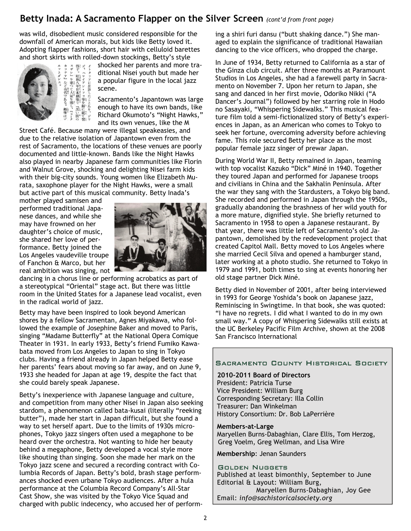## Betty Inada: A Sacramento Flapper on the Silver Screen *(cont'd from front page)*

was wild, disobedient music considered responsible for the downfall of American morals, but kids like Betty loved it. Adopting flapper fashions, short hair with celluloid barettes and short skirts with rolled-down stockings, Betty's style



shocked her parents and more traditional Nisei youth but made her a popular figure in the local jazz scene.

Sacramento's Japantown was large enough to have its own bands, like Richard Okumoto's "Night Hawks," and its own venues, like the M

Street Café. Because many were illegal speakeasies, and due to the relative isolation of Japantown even from the rest of Sacramento, the locations of these venues are poorly documented and little-known. Bands like the Night Hawks also played in nearby Japanese farm communities like Florin and Walnut Grove, shocking and delighting Nisei farm kids with their big-city sounds. Young women like Elizabeth Murata, saxophone player for the Night Hawks, were a small but active part of this musical community. Betty Inada's

mother played samisen and performed traditional Japanese dances, and while she may have frowned on her daughter's choice of music, she shared her love of performance. Betty joined the Los Angeles vaudeville troupe of Fanchon & Marco, but her real ambition was singing, not



dancing in a chorus line or performing acrobatics as part of a stereotypical "Oriental" stage act. But there was little room in the United States for a Japanese lead vocalist, even in the radical world of jazz.

Betty may have been inspired to look beyond American shores by a fellow Sacramentan, Agnes Miyakawa, who followed the example of Josephine Baker and moved to Paris, singing "Madame Butterfly" at the National Opera Comique Theater in 1931. In early 1933, Betty's friend Fumiko Kawabata moved from Los Angeles to Japan to sing in Tokyo clubs. Having a friend already in Japan helped Betty ease her parents' fears about moving so far away, and on June 9, 1933 she headed for Japan at age 19, despite the fact that she could barely speak Japanese.

Betty's inexperience with Japanese language and culture, and competition from many other Nisei in Japan also seeking stardom, a phenomenon called bata-kusai (literally "reeking butter"), made her start in Japan difficult, but she found a way to set herself apart. Due to the limits of 1930s microphones, Tokyo jazz singers often used a megaphone to be heard over the orchestra. Not wanting to hide her beauty behind a megaphone, Betty developed a vocal style more like shouting than singing. Soon she made her mark on the Tokyo jazz scene and secured a recording contract with Columbia Records of Japan. Betty's bold, brash stage performances shocked even urbane Tokyo audiences. After a hula performance at the Columbia Record Company's All-Star Cast Show, she was visited by the Tokyo Vice Squad and charged with public indecency, who accused her of performing a shiri furi dansu ("butt shaking dance.") She managed to explain the significance of traditional Hawaiian dancing to the vice officers, who dropped the charge.

In June of 1934, Betty returned to California as a star of the Ginza club circuit. After three months at Paramount Studios in Los Angeles, she had a farewell party in Sacramento on November 7. Upon her return to Japan, she sang and danced in her first movie, Odoriko Nikki ("A Dancer's Journal") followed by her starring role in Hodo no Sasayaki, "Whispering Sidewalks." This musical feature film told a semi-fictionalized story of Betty's experiences in Japan, as an American who comes to Tokyo to seek her fortune, overcoming adversity before achieving fame. This role secured Betty her place as the most popular female jazz singer of prewar Japan.

During World War II, Betty remained in Japan, teaming with top vocalist Kazuko "Dick" Miné in 1940. Together they toured Japan and performed for Japanese troops and civilians in China and the Sakhalin Peninsula. After the war they sang with the Stardusters, a Tokyo big band. She recorded and performed in Japan through the 1950s, gradually abandoning the brashness of her wild youth for a more mature, dignified style. She briefly returned to Sacramento in 1958 to open a Japanese restaurant. By that year, there was little left of Sacramento's old Japantown, demolished by the redevelopment project that created Capitol Mall. Betty moved to Los Angeles where she married Cecil Silva and opened a hamburger stand, later working at a photo studio. She returned to Tokyo in 1979 and 1991, both times to sing at events honoring her old stage partner Dick Miné.

Betty died in November of 2001, after being interviewed in 1993 for George Yoshida's book on Japanese jazz, Reminiscing in Swingtime. In that book, she was quoted: "I have no regrets. I did what I wanted to do in my own small way." A copy of Whispering Sidewalks still exists at the UC Berkeley Pacific Film Archive, shown at the 2008 San Francisco International

#### SACRAMENTO COUNTY HISTORICAL SOCIETY

**2010-2011 Board of Directors** President: Patricia Turse Vice President: William Burg Corresponding Secretary: Illa Collin Treasurer: Dan Winkelman History Consortium: Dr. Bob LaPerrière

**Members-at-Large** Maryellen Burns-Dabaghian, Clare Ellis, Tom Herzog, Greg Voelm, Greg Wellman, and Lisa Wire

**Membership**: Jenan Saunders

#### GOLDEN NUGGETS

Published at least bimonthly, September to June Editorial & Layout: William Burg, Maryellen Burns-Dabaghian, Joy Gee Email: *info@sachistoricalsociety.org*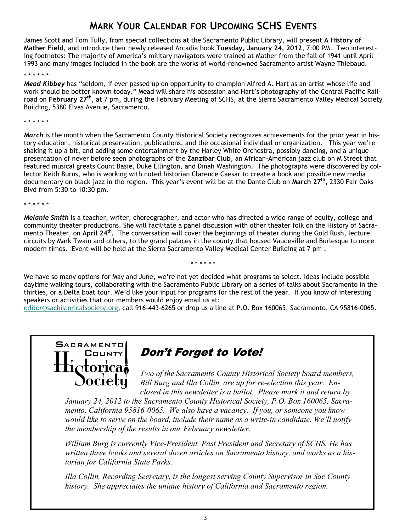## **MARK YOUR CALENDAR FOR UPCOMING SCHS EVENTS**

James Scott and Tom Tully, from special collections at the Sacramento Public Library, will present **A History of Mather Field**, and introduce their newly released Arcadia book **Tuesday, January 24, 2012**, 7:00 PM. Two interesting footnotes: The majority of America's military navigators were trained at Mather from the fall of 1941 until April 1993 and many images included in the book are the works of world-renowned Sacramento artist Wayne Thiebaud.

#### \* \* \* \* \* \*

*Mead Kibbey* has "seldom, if ever passed up on opportunity to champion Alfred A. Hart as an artist whose life and work should be better known today." Mead will share his obsession and Hart's photography of the Central Pacific Railroad on **February 27th**, at 7 pm, during the February Meeting of SCHS, at the Sierra Sacramento Valley Medical Society Building, 5380 Elvas Avenue, Sacramento.

\* \* \* \* \* \*

*March* is the month when the Sacramento County Historical Society recognizes achievements for the prior year in history education, historical preservation, publications, and the occasional individual or organization. This year we're shaking it up a bit, and adding some entertainment by the Harley White Orchestra, possibly dancing, and a unique presentation of never before seen photographs of the **Zanzibar Club**, an African-American jazz club on M Street that featured musical greats Count Basie, Duke Ellington, and Dinah Washington. The photographs were discovered by collector Keith Burns, who is working with noted historian Clarence Caesar to create a book and possible new media documentary on black jazz in the region. This year's event will be at the Dante Club on March 27<sup>th</sup>, 2330 Fair Oaks Blvd from 5:30 to 10:30 pm.

\* \* \* \* \* \*

*Melanie Smith* is a teacher, writer, choreographer, and actor who has directed a wide range of equity, college and community theater productions. She will facilitate a panel discussion with other theater folk on the History of Sacramento Theater, on **April 24<sup>th</sup>**. The conversation will cover the beginnings of theater during the Gold Rush, lecture circuits by Mark Twain and others, to the grand palaces in the county that housed Vaudeville and Burlesque to more modern times. Event will be held at the Sierra Sacramento Valley Medical Center Building at 7 pm .

We have so many options for May and June, we're not yet decided what programs to select. Ideas include possible daytime walking tours, collaborating with the Sacramento Public Library on a series of talks about Sacramento in the thirties, or a Delta boat tour. We'd like your input for programs for the rest of the year. If you know of interesting speakers or activities that our members would enjoy email us at:

\* \* \* \* \* \*

[editor@sachistoricalsociety.org,](mailto:editor@sachistoricalsociety.org) call 916-443-6265 or drop us a line at P.O. Box 160065, Sacramento, CA 95816-0065.



**Don't Forget to Vote!** 

*Two of the Sacramento County Historical Society board members, Bill Burg and Illa Collin, are up for re-election this year. Enclosed in this newsletter is a ballot. Please mark it and return by* 

*January 24, 2012 to the Sacramento County Historical Society, P.O. Box 160065, Sacramento, California 95816-0065. We also have a vacancy. If you, or someone you know would like to serve on the board, include their name as a write-in candidate. We'll notify the membership of the results in our February newsletter.* 

*William Burg is currently Vice-President, Past President and Secretary of SCHS. He has written three books and several dozen articles on Sacramento history, and works as a historian for California State Parks.* 

*Illa Collin, Recording Secretary, is the longest serving County Supervisor in Sac County history. She appreciates the unique history of California and Sacramento region.*